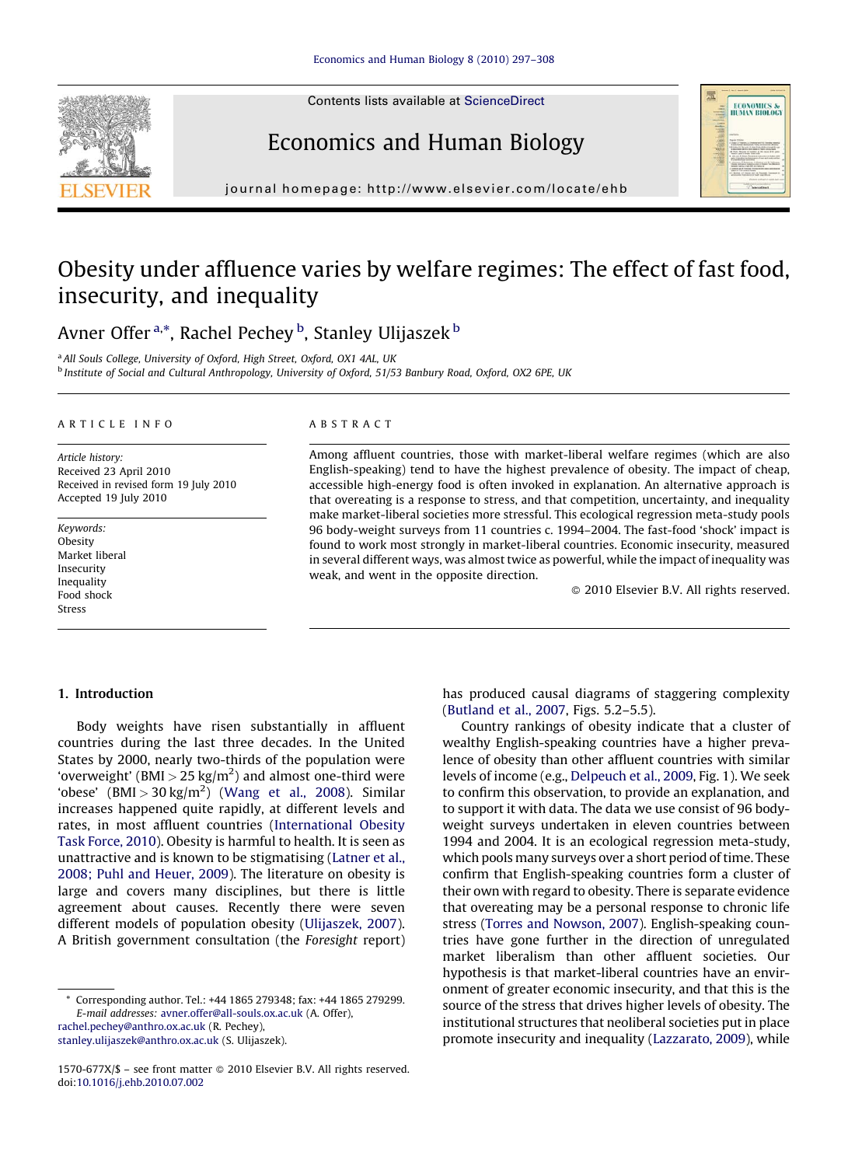Contents lists available at [ScienceDirect](http://www.sciencedirect.com/science/journal/1570677X)







journal homepage: http://www.elsevier.com/locate/ehb

# Obesity under affluence varies by welfare regimes: The effect of fast food, insecurity, and inequality

Avner Offer<sup>a,</sup>\*, Rachel Pechey <sup>b</sup>, Stanley Ulijaszek <sup>b</sup>

<sup>a</sup> All Souls College, University of Oxford, High Street, Oxford, OX1 4AL, UK <sup>b</sup> Institute of Social and Cultural Anthropology, University of Oxford, 51/53 Banbury Road, Oxford, OX2 6PE, UK

# ARTICLE INFO

Article history: Received 23 April 2010 Received in revised form 19 July 2010 Accepted 19 July 2010

Keywords: Obesity Market liberal Insecurity Inequality Food shock Stress

# ABSTRACT

Among affluent countries, those with market-liberal welfare regimes (which are also English-speaking) tend to have the highest prevalence of obesity. The impact of cheap, accessible high-energy food is often invoked in explanation. An alternative approach is that overeating is a response to stress, and that competition, uncertainty, and inequality make market-liberal societies more stressful. This ecological regression meta-study pools 96 body-weight surveys from 11 countries c. 1994–2004. The fast-food 'shock' impact is found to work most strongly in market-liberal countries. Economic insecurity, measured in several different ways, was almost twice as powerful, while the impact of inequality was weak, and went in the opposite direction.

- 2010 Elsevier B.V. All rights reserved.

# 1. Introduction

Body weights have risen substantially in affluent countries during the last three decades. In the United States by 2000, nearly two-thirds of the population were 'overweight' (BMI > 25 kg/m<sup>2</sup>) and almost one-third were 'obese'  $(BMI > 30 kg/m<sup>2</sup>)$  ([Wang et al., 2008](#page-11-0)). Similar increases happened quite rapidly, at different levels and rates, in most affluent countries ([International Obesity](#page-10-0) [Task Force, 2010](#page-10-0)). Obesity is harmful to health. It is seen as unattractive and is known to be stigmatising ([Latner et al.,](#page-10-0) [2008; Puhl and Heuer, 2009\)](#page-10-0). The literature on obesity is large and covers many disciplines, but there is little agreement about causes. Recently there were seven different models of population obesity [\(Ulijaszek, 2007](#page-11-0)). A British government consultation (the Foresight report)

\* Corresponding author. Tel.: +44 1865 279348; fax: +44 1865 279299. E-mail addresses: [avner.offer@all-souls.ox.ac.uk](mailto:avner.offer@all-souls.ox.ac.uk) (A. Offer), [rachel.pechey@anthro.ox.ac.uk](mailto:rachel.pechey@anthro.ox.ac.uk) (R. Pechey), [stanley.ulijaszek@anthro.ox.ac.uk](mailto:stanley.ulijaszek@anthro.ox.ac.uk) (S. Ulijaszek).

has produced causal diagrams of staggering complexity [\(Butland et al., 2007](#page-10-0), Figs. 5.2–5.5).

Country rankings of obesity indicate that a cluster of wealthy English-speaking countries have a higher prevalence of obesity than other affluent countries with similar levels of income (e.g., [Delpeuch et al., 2009](#page-10-0), Fig. 1). We seek to confirm this observation, to provide an explanation, and to support it with data. The data we use consist of 96 bodyweight surveys undertaken in eleven countries between 1994 and 2004. It is an ecological regression meta-study, which pools many surveys over a short period of time. These confirm that English-speaking countries form a cluster of their own with regard to obesity. There is separate evidence that overeating may be a personal response to chronic life stress [\(Torres and Nowson, 2007\)](#page-10-0). English-speaking countries have gone further in the direction of unregulated market liberalism than other affluent societies. Our hypothesis is that market-liberal countries have an environment of greater economic insecurity, and that this is the source of the stress that drives higher levels of obesity. The institutional structures that neoliberal societies put in place promote insecurity and inequality ([Lazzarato, 2009\)](#page-10-0), while

<sup>1570-677</sup>X/\$ – see front matter © 2010 Elsevier B.V. All rights reserved. doi:[10.1016/j.ehb.2010.07.002](http://dx.doi.org/10.1016/j.ehb.2010.07.002)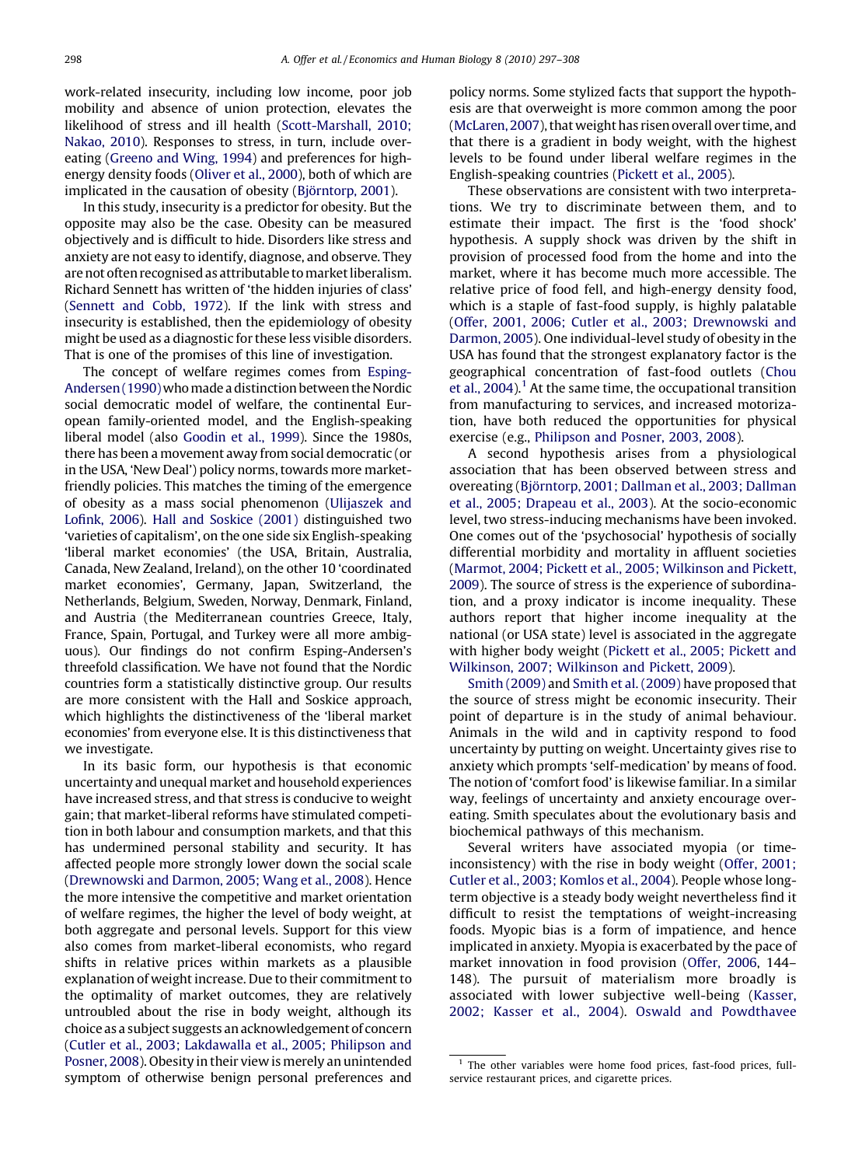work-related insecurity, including low income, poor job mobility and absence of union protection, elevates the likelihood of stress and ill health ([Scott-Marshall, 2010;](#page-10-0) [Nakao, 2010](#page-10-0)). Responses to stress, in turn, include overeating [\(Greeno and Wing, 1994](#page-10-0)) and preferences for highenergy density foods [\(Oliver et al., 2000\)](#page-10-0), both of which are implicated in the causation of obesity (Bjö[rntorp, 2001\)](#page-10-0).

In this study, insecurity is a predictor for obesity. But the opposite may also be the case. Obesity can be measured objectively and is difficult to hide. Disorders like stress and anxiety are not easy to identify, diagnose, and observe. They are not often recognised as attributable tomarket liberalism. Richard Sennett has written of 'the hidden injuries of class' [\(Sennett and Cobb, 1972](#page-10-0)). If the link with stress and insecurity is established, then the epidemiology of obesity might be used as a diagnostic for these less visible disorders. That is one of the promises of this line of investigation.

The concept of welfare regimes comes from [Esping-](#page-10-0)[Andersen \(1990\)](#page-10-0) who made a distinction between the Nordic social democratic model of welfare, the continental European family-oriented model, and the English-speaking liberal model (also [Goodin et al., 1999\)](#page-10-0). Since the 1980s, there has been a movement away from social democratic (or in the USA, 'New Deal') policy norms, towards more marketfriendly policies. This matches the timing of the emergence of obesity as a mass social phenomenon [\(Ulijaszek and](#page-11-0) [Lofink, 2006\)](#page-11-0). [Hall and Soskice \(2001\)](#page-10-0) distinguished two 'varieties of capitalism', on the one side six English-speaking 'liberal market economies' (the USA, Britain, Australia, Canada, New Zealand, Ireland), on the other 10 'coordinated market economies', Germany, Japan, Switzerland, the Netherlands, Belgium, Sweden, Norway, Denmark, Finland, and Austria (the Mediterranean countries Greece, Italy, France, Spain, Portugal, and Turkey were all more ambiguous). Our findings do not confirm Esping-Andersen's threefold classification. We have not found that the Nordic countries form a statistically distinctive group. Our results are more consistent with the Hall and Soskice approach, which highlights the distinctiveness of the 'liberal market economies' from everyone else. It is this distinctiveness that we investigate.

In its basic form, our hypothesis is that economic uncertainty and unequal market and household experiences have increased stress, and that stress is conducive to weight gain; that market-liberal reforms have stimulated competition in both labour and consumption markets, and that this has undermined personal stability and security. It has affected people more strongly lower down the social scale [\(Drewnowski and Darmon, 2005; Wang et al., 2008\)](#page-10-0). Hence the more intensive the competitive and market orientation of welfare regimes, the higher the level of body weight, at both aggregate and personal levels. Support for this view also comes from market-liberal economists, who regard shifts in relative prices within markets as a plausible explanation of weight increase. Due to their commitment to the optimality of market outcomes, they are relatively untroubled about the rise in body weight, although its choice as a subject suggests an acknowledgement of concern [\(Cutler et al., 2003; Lakdawalla et al., 2005; Philipson and](#page-10-0) [Posner, 2008\)](#page-10-0). Obesity in their view is merely an unintended symptom of otherwise benign personal preferences and

policy norms. Some stylized facts that support the hypothesis are that overweight is more common among the poor [\(McLaren, 2007\)](#page-10-0), thatweight has risen overall over time, and that there is a gradient in body weight, with the highest levels to be found under liberal welfare regimes in the English-speaking countries [\(Pickett et al., 2005](#page-10-0)).

These observations are consistent with two interpretations. We try to discriminate between them, and to estimate their impact. The first is the 'food shock' hypothesis. A supply shock was driven by the shift in provision of processed food from the home and into the market, where it has become much more accessible. The relative price of food fell, and high-energy density food, which is a staple of fast-food supply, is highly palatable [\(Offer, 2001, 2006; Cutler et al., 2003; Drewnowski and](#page-10-0) [Darmon, 2005\)](#page-10-0). One individual-level study of obesity in the USA has found that the strongest explanatory factor is the geographical concentration of fast-food outlets ([Chou](#page-10-0) et al.,  $2004$ ).<sup>1</sup> At the same time, the occupational transition from manufacturing to services, and increased motorization, have both reduced the opportunities for physical exercise (e.g., [Philipson and Posner, 2003, 2008](#page-10-0)).

A second hypothesis arises from a physiological association that has been observed between stress and overeating (Bjö[rntorp, 2001; Dallman et al., 2003; Dallman](#page-10-0) [et al., 2005; Drapeau et al., 2003](#page-10-0)). At the socio-economic level, two stress-inducing mechanisms have been invoked. One comes out of the 'psychosocial' hypothesis of socially differential morbidity and mortality in affluent societies [\(Marmot, 2004; Pickett et al., 2005; Wilkinson and Pickett,](#page-10-0) [2009](#page-10-0)). The source of stress is the experience of subordination, and a proxy indicator is income inequality. These authors report that higher income inequality at the national (or USA state) level is associated in the aggregate with higher body weight [\(Pickett et al., 2005; Pickett and](#page-10-0) [Wilkinson, 2007; Wilkinson and Pickett, 2009\)](#page-10-0).

[Smith \(2009\)](#page-10-0) and [Smith et al. \(2009\)](#page-10-0) have proposed that the source of stress might be economic insecurity. Their point of departure is in the study of animal behaviour. Animals in the wild and in captivity respond to food uncertainty by putting on weight. Uncertainty gives rise to anxiety which prompts 'self-medication' by means of food. The notion of 'comfort food' is likewise familiar. In a similar way, feelings of uncertainty and anxiety encourage overeating. Smith speculates about the evolutionary basis and biochemical pathways of this mechanism.

Several writers have associated myopia (or timeinconsistency) with the rise in body weight [\(Offer, 2001;](#page-10-0) [Cutler et al., 2003; Komlos et al., 2004](#page-10-0)). People whose longterm objective is a steady body weight nevertheless find it difficult to resist the temptations of weight-increasing foods. Myopic bias is a form of impatience, and hence implicated in anxiety. Myopia is exacerbated by the pace of market innovation in food provision [\(Offer, 2006](#page-10-0), 144– 148). The pursuit of materialism more broadly is associated with lower subjective well-being [\(Kasser,](#page-10-0) [2002; Kasser et al., 2004](#page-10-0)). [Oswald and Powdthavee](#page-10-0)

 $1$  The other variables were home food prices, fast-food prices, fullservice restaurant prices, and cigarette prices.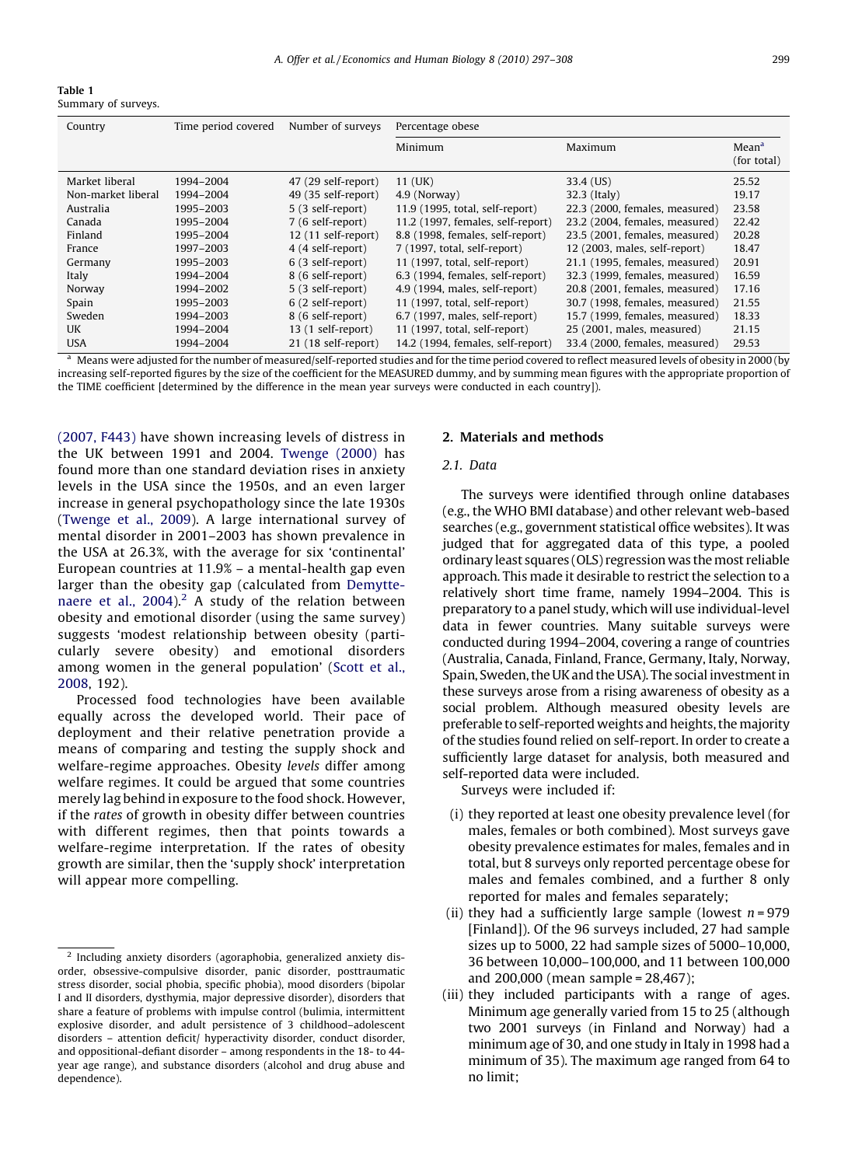<span id="page-2-0"></span>Table 1 Summary of surveys.

| Country            | Time period covered | Number of surveys    | Percentage obese                  |                                |                                  |
|--------------------|---------------------|----------------------|-----------------------------------|--------------------------------|----------------------------------|
|                    |                     |                      | Minimum                           | Maximum                        | Mean <sup>a</sup><br>(for total) |
| Market liberal     | 1994-2004           | 47 (29 self-report)  | 11 (UK)                           | 33.4 (US)                      | 25.52                            |
| Non-market liberal | 1994-2004           | 49 (35 self-report)  | 4.9 (Norway)                      | 32.3 (Italy)                   | 19.17                            |
| Australia          | 1995-2003           | 5 (3 self-report)    | 11.9 (1995, total, self-report)   | 22.3 (2000, females, measured) | 23.58                            |
| Canada             | 1995-2004           | 7 (6 self-report)    | 11.2 (1997, females, self-report) | 23.2 (2004, females, measured) | 22.42                            |
| Finland            | 1995-2004           | $12(11$ self-report) | 8.8 (1998, females, self-report)  | 23.5 (2001, females, measured) | 20.28                            |
| France             | 1997-2003           | 4 (4 self-report)    | 7 (1997, total, self-report)      | 12 (2003, males, self-report)  | 18.47                            |
| Germany            | 1995-2003           | 6 (3 self-report)    | 11 (1997, total, self-report)     | 21.1 (1995, females, measured) | 20.91                            |
| Italy              | 1994-2004           | 8 (6 self-report)    | 6.3 (1994, females, self-report)  | 32.3 (1999, females, measured) | 16.59                            |
| Norway             | 1994-2002           | 5 (3 self-report)    | 4.9 (1994, males, self-report)    | 20.8 (2001, females, measured) | 17.16                            |
| Spain              | 1995-2003           | 6 (2 self-report)    | 11 (1997, total, self-report)     | 30.7 (1998, females, measured) | 21.55                            |
| Sweden             | 1994-2003           | 8 (6 self-report)    | 6.7 (1997, males, self-report)    | 15.7 (1999, females, measured) | 18.33                            |
| UK                 | 1994-2004           | 13 (1 self-report)   | 11 (1997, total, self-report)     | 25 (2001, males, measured)     | 21.15                            |
| <b>USA</b>         | 1994-2004           | 21 (18 self-report)  | 14.2 (1994, females, self-report) | 33.4 (2000, females, measured) | 29.53                            |

<sup>a</sup> Means were adjusted for the number of measured/self-reported studies and for the time period covered to reflect measured levels of obesity in 2000 (by increasing self-reported figures by the size of the coefficient for the MEASURED dummy, and by summing mean figures with the appropriate proportion of the TIME coefficient [determined by the difference in the mean year surveys were conducted in each country]).

[\(2007, F443\)](#page-10-0) have shown increasing levels of distress in the UK between 1991 and 2004. [Twenge \(2000\)](#page-11-0) has found more than one standard deviation rises in anxiety levels in the USA since the 1950s, and an even larger increase in general psychopathology since the late 1930s ([Twenge et al., 2009\)](#page-11-0). A large international survey of mental disorder in 2001–2003 has shown prevalence in the USA at 26.3%, with the average for six 'continental' European countries at 11.9% – a mental-health gap even larger than the obesity gap (calculated from [Demytte](#page-10-0)naere et al.,  $2004$ ).<sup>2</sup> A study of the relation between obesity and emotional disorder (using the same survey) suggests 'modest relationship between obesity (particularly severe obesity) and emotional disorders among women in the general population' [\(Scott et al.,](#page-10-0) [2008](#page-10-0), 192).

Processed food technologies have been available equally across the developed world. Their pace of deployment and their relative penetration provide a means of comparing and testing the supply shock and welfare-regime approaches. Obesity levels differ among welfare regimes. It could be argued that some countries merely lag behind in exposure to the food shock. However, if the rates of growth in obesity differ between countries with different regimes, then that points towards a welfare-regime interpretation. If the rates of obesity growth are similar, then the 'supply shock' interpretation will appear more compelling.

#### 2. Materials and methods

#### 2.1. Data

The surveys were identified through online databases (e.g., the WHO BMI database) and other relevant web-based searches (e.g., government statistical office websites). It was judged that for aggregated data of this type, a pooled ordinary least squares (OLS) regression was themost reliable approach. This made it desirable to restrict the selection to a relatively short time frame, namely 1994–2004. This is preparatory to a panel study, which will use individual-level data in fewer countries. Many suitable surveys were conducted during 1994–2004, covering a range of countries (Australia, Canada, Finland, France, Germany, Italy, Norway, Spain, Sweden, the UK and the USA). The social investment in these surveys arose from a rising awareness of obesity as a social problem. Although measured obesity levels are preferable to self-reported weights and heights, the majority of the studies found relied on self-report. In order to create a sufficiently large dataset for analysis, both measured and self-reported data were included.

Surveys were included if:

- (i) they reported at least one obesity prevalence level (for males, females or both combined). Most surveys gave obesity prevalence estimates for males, females and in total, but 8 surveys only reported percentage obese for males and females combined, and a further 8 only reported for males and females separately;
- (ii) they had a sufficiently large sample (lowest  $n = 979$ [Finland]). Of the 96 surveys included, 27 had sample sizes up to 5000, 22 had sample sizes of 5000–10,000, 36 between 10,000–100,000, and 11 between 100,000 and 200,000 (mean sample = 28,467);
- (iii) they included participants with a range of ages. Minimum age generally varied from 15 to 25 (although two 2001 surveys (in Finland and Norway) had a minimum age of 30, and one study in Italy in 1998 had a minimum of 35). The maximum age ranged from 64 to no limit;

<sup>2</sup> Including anxiety disorders (agoraphobia, generalized anxiety disorder, obsessive-compulsive disorder, panic disorder, posttraumatic stress disorder, social phobia, specific phobia), mood disorders (bipolar I and II disorders, dysthymia, major depressive disorder), disorders that share a feature of problems with impulse control (bulimia, intermittent explosive disorder, and adult persistence of 3 childhood–adolescent disorders – attention deficit/ hyperactivity disorder, conduct disorder, and oppositional-defiant disorder – among respondents in the 18- to 44 year age range), and substance disorders (alcohol and drug abuse and dependence).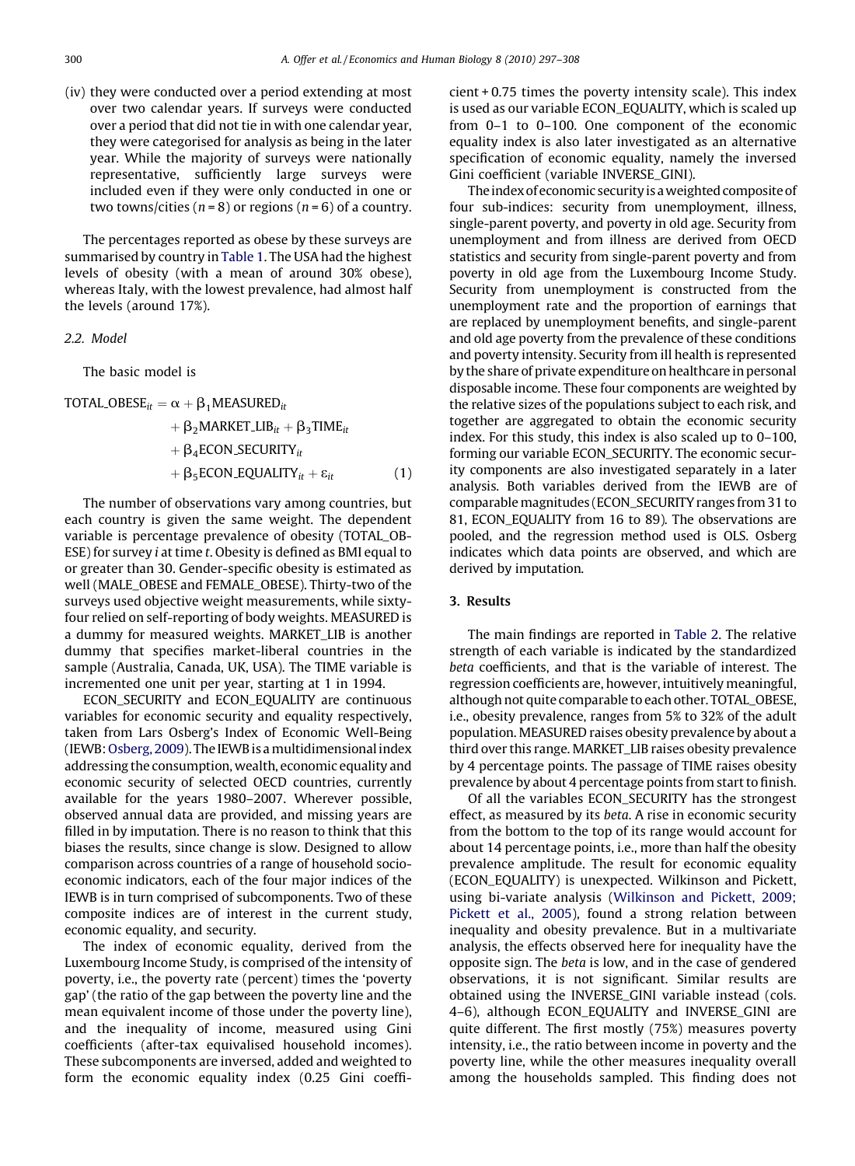(iv) they were conducted over a period extending at most over two calendar years. If surveys were conducted over a period that did not tie in with one calendar year, they were categorised for analysis as being in the later year. While the majority of surveys were nationally representative, sufficiently large surveys were included even if they were only conducted in one or two towns/cities ( $n = 8$ ) or regions ( $n = 6$ ) of a country.

The percentages reported as obese by these surveys are summarised by country in [Table 1](#page-2-0). The USA had the highest levels of obesity (with a mean of around 30% obese), whereas Italy, with the lowest prevalence, had almost half the levels (around 17%).

2.2. Model

The basic model is

TOTAL OBESE<sub>it</sub> =  $\alpha + \beta_1$ MEASURED<sub>it</sub>  $+\beta_2$ MARKET\_LIB<sub>it</sub> +  $\beta_3$ TIME<sub>it</sub> +  $\beta_4$ ECON SECURITY<sub>it</sub>  $+\beta_5$ ECON\_EQUALITY<sub>it</sub> +  $\varepsilon_{it}$  (1)

The number of observations vary among countries, but each country is given the same weight. The dependent variable is percentage prevalence of obesity (TOTAL\_OB-ESE) for survey i at time t. Obesity is defined as BMI equal to or greater than 30. Gender-specific obesity is estimated as well (MALE\_OBESE and FEMALE\_OBESE). Thirty-two of the surveys used objective weight measurements, while sixtyfour relied on self-reporting of body weights. MEASURED is a dummy for measured weights. MARKET\_LIB is another dummy that specifies market-liberal countries in the sample (Australia, Canada, UK, USA). The TIME variable is incremented one unit per year, starting at 1 in 1994.

ECON\_SECURITY and ECON\_EQUALITY are continuous variables for economic security and equality respectively, taken from Lars Osberg's Index of Economic Well-Being (IEWB:[Osberg, 2009](#page-10-0)). The IEWB is amultidimensional index addressing the consumption, wealth, economic equality and economic security of selected OECD countries, currently available for the years 1980–2007. Wherever possible, observed annual data are provided, and missing years are filled in by imputation. There is no reason to think that this biases the results, since change is slow. Designed to allow comparison across countries of a range of household socioeconomic indicators, each of the four major indices of the IEWB is in turn comprised of subcomponents. Two of these composite indices are of interest in the current study, economic equality, and security.

The index of economic equality, derived from the Luxembourg Income Study, is comprised of the intensity of poverty, i.e., the poverty rate (percent) times the 'poverty gap' (the ratio of the gap between the poverty line and the mean equivalent income of those under the poverty line), and the inequality of income, measured using Gini coefficients (after-tax equivalised household incomes). These subcomponents are inversed, added and weighted to form the economic equality index (0.25 Gini coefficient + 0.75 times the poverty intensity scale). This index is used as our variable ECON\_EQUALITY, which is scaled up from 0–1 to 0–100. One component of the economic equality index is also later investigated as an alternative specification of economic equality, namely the inversed Gini coefficient (variable INVERSE\_GINI).

The index of economic security is aweighted composite of four sub-indices: security from unemployment, illness, single-parent poverty, and poverty in old age. Security from unemployment and from illness are derived from OECD statistics and security from single-parent poverty and from poverty in old age from the Luxembourg Income Study. Security from unemployment is constructed from the unemployment rate and the proportion of earnings that are replaced by unemployment benefits, and single-parent and old age poverty from the prevalence of these conditions and poverty intensity. Security from ill health is represented by the share of private expenditure on healthcare in personal disposable income. These four components are weighted by the relative sizes of the populations subject to each risk, and together are aggregated to obtain the economic security index. For this study, this index is also scaled up to 0–100, forming our variable ECON\_SECURITY. The economic security components are also investigated separately in a later analysis. Both variables derived from the IEWB are of comparable magnitudes (ECON\_SECURITY ranges from 31 to 81, ECON\_EQUALITY from 16 to 89). The observations are pooled, and the regression method used is OLS. Osberg indicates which data points are observed, and which are derived by imputation.

#### 3. Results

The main findings are reported in [Table 2.](#page-4-0) The relative strength of each variable is indicated by the standardized beta coefficients, and that is the variable of interest. The regression coefficients are, however, intuitively meaningful, although not quite comparable to each other. TOTAL\_OBESE, i.e., obesity prevalence, ranges from 5% to 32% of the adult population.MEASURED raises obesity prevalence by about a third over this range. MARKET\_LIB raises obesity prevalence by 4 percentage points. The passage of TIME raises obesity prevalence by about 4 percentage points from start to finish.

Of all the variables ECON\_SECURITY has the strongest effect, as measured by its beta. A rise in economic security from the bottom to the top of its range would account for about 14 percentage points, i.e., more than half the obesity prevalence amplitude. The result for economic equality (ECON\_EQUALITY) is unexpected. Wilkinson and Pickett, using bi-variate analysis ([Wilkinson and Pickett, 2009;](#page-11-0) [Pickett et al., 2005](#page-11-0)), found a strong relation between inequality and obesity prevalence. But in a multivariate analysis, the effects observed here for inequality have the opposite sign. The beta is low, and in the case of gendered observations, it is not significant. Similar results are obtained using the INVERSE\_GINI variable instead (cols. 4–6), although ECON\_EQUALITY and INVERSE\_GINI are quite different. The first mostly (75%) measures poverty intensity, i.e., the ratio between income in poverty and the poverty line, while the other measures inequality overall among the households sampled. This finding does not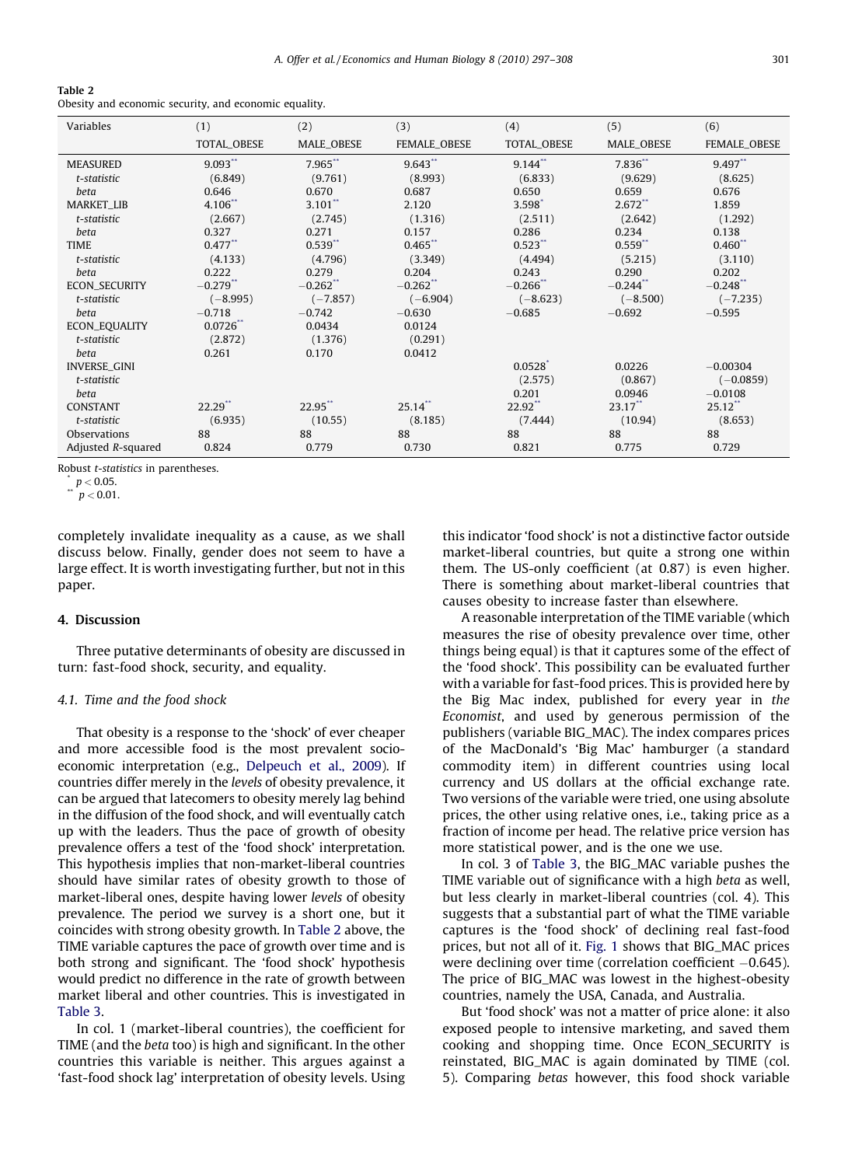<span id="page-4-0"></span>

|--|

Obesity and economic security, and economic equality.

| Variables            | (1)                   | (2)                    | (3)                   | (4)                   | (5)                    | (6)          |
|----------------------|-----------------------|------------------------|-----------------------|-----------------------|------------------------|--------------|
|                      | TOTAL_OBESE           | MALE_OBESE             | FEMALE_OBESE          | TOTAL_OBESE           | MALE_OBESE             | FEMALE_OBESE |
| <b>MEASURED</b>      | 9.093                 | $7.965$ **             | 9.643                 | $9.144$ **            | $7.836$ **             | 9.497        |
| t-statistic          | (6.849)               | (9.761)                | (8.993)               | (6.833)               | (9.629)                | (8.625)      |
| beta                 | 0.646                 | 0.670                  | 0.687                 | 0.650                 | 0.659                  | 0.676        |
| <b>MARKET_LIB</b>    | $4.106$ <sup>**</sup> | $3.101$ <sup>**</sup>  | 2.120                 | $3.598$ <sup>*</sup>  | $2.672$ **             | 1.859        |
| t-statistic          | (2.667)               | (2.745)                | (1.316)               | (2.511)               | (2.642)                | (1.292)      |
| heta                 | 0.327                 | 0.271                  | 0.157                 | 0.286                 | 0.234                  | 0.138        |
| <b>TIME</b>          | $0.477$ **            | 0.539                  | $0.465$ <sup>**</sup> | 0.523                 | 0.559                  | 0.460        |
| t-statistic          | (4.133)               | (4.796)                | (3.349)               | (4.494)               | (5.215)                | (3.110)      |
| beta                 | 0.222                 | 0.279                  | 0.204                 | 0.243                 | 0.290                  | 0.202        |
| <b>ECON SECURITY</b> | $-0.279$ **           | $-0.262$ <sup>**</sup> | $-0.262$ **           | $-0.266$ **           | $-0.244$ <sup>**</sup> | $-0.248$ **  |
| t-statistic          | $(-8.995)$            | $(-7.857)$             | $(-6.904)$            | $(-8.623)$            | $(-8.500)$             | $(-7.235)$   |
| beta                 | $-0.718$              | $-0.742$               | $-0.630$              | $-0.685$              | $-0.692$               | $-0.595$     |
| ECON_EQUALITY        | $0.0726$ **           | 0.0434                 | 0.0124                |                       |                        |              |
| t-statistic          | (2.872)               | (1.376)                | (0.291)               |                       |                        |              |
| beta                 | 0.261                 | 0.170                  | 0.0412                |                       |                        |              |
| <b>INVERSE_GINI</b>  |                       |                        |                       | $0.0528$ <sup>*</sup> | 0.0226                 | $-0.00304$   |
| t-statistic          |                       |                        |                       | (2.575)               | (0.867)                | $(-0.0859)$  |
| beta                 |                       |                        |                       | 0.201                 | 0.0946                 | $-0.0108$    |
| <b>CONSTANT</b>      | 22.29                 | 22.95                  | 25.14                 | $22.92$ **            | $23.17$ **             | 25.12        |
| t-statistic          | (6.935)               | (10.55)                | (8.185)               | (7.444)               | (10.94)                | (8.653)      |
| Observations         | 88                    | 88                     | 88                    | 88                    | 88                     | 88           |
| Adjusted R-squared   | 0.824                 | 0.779                  | 0.730                 | 0.821                 | 0.775                  | 0.729        |

Robust t-statistics in parentheses.

completely invalidate inequality as a cause, as we shall discuss below. Finally, gender does not seem to have a large effect. It is worth investigating further, but not in this paper.

#### 4. Discussion

Three putative determinants of obesity are discussed in turn: fast-food shock, security, and equality.

## 4.1. Time and the food shock

That obesity is a response to the 'shock' of ever cheaper and more accessible food is the most prevalent socioeconomic interpretation (e.g., [Delpeuch et al., 2009](#page-10-0)). If countries differ merely in the levels of obesity prevalence, it can be argued that latecomers to obesity merely lag behind in the diffusion of the food shock, and will eventually catch up with the leaders. Thus the pace of growth of obesity prevalence offers a test of the 'food shock' interpretation. This hypothesis implies that non-market-liberal countries should have similar rates of obesity growth to those of market-liberal ones, despite having lower levels of obesity prevalence. The period we survey is a short one, but it coincides with strong obesity growth. In Table 2 above, the TIME variable captures the pace of growth over time and is both strong and significant. The 'food shock' hypothesis would predict no difference in the rate of growth between market liberal and other countries. This is investigated in [Table 3](#page-5-0).

In col. 1 (market-liberal countries), the coefficient for TIME (and the beta too) is high and significant. In the other countries this variable is neither. This argues against a 'fast-food shock lag' interpretation of obesity levels. Using

this indicator 'food shock' is not a distinctive factor outside market-liberal countries, but quite a strong one within them. The US-only coefficient (at 0.87) is even higher. There is something about market-liberal countries that causes obesity to increase faster than elsewhere.

A reasonable interpretation of the TIME variable (which measures the rise of obesity prevalence over time, other things being equal) is that it captures some of the effect of the 'food shock'. This possibility can be evaluated further with a variable for fast-food prices. This is provided here by the Big Mac index, published for every year in the Economist, and used by generous permission of the publishers (variable BIG\_MAC). The index compares prices of the MacDonald's 'Big Mac' hamburger (a standard commodity item) in different countries using local currency and US dollars at the official exchange rate. Two versions of the variable were tried, one using absolute prices, the other using relative ones, i.e., taking price as a fraction of income per head. The relative price version has more statistical power, and is the one we use.

In col. 3 of [Table 3,](#page-5-0) the BIG\_MAC variable pushes the TIME variable out of significance with a high beta as well, but less clearly in market-liberal countries (col. 4). This suggests that a substantial part of what the TIME variable captures is the 'food shock' of declining real fast-food prices, but not all of it. [Fig. 1](#page-5-0) shows that BIG\_MAC prices were declining over time (correlation coefficient  $-0.645$ ). The price of BIG\_MAC was lowest in the highest-obesity countries, namely the USA, Canada, and Australia.

But 'food shock' was not a matter of price alone: it also exposed people to intensive marketing, and saved them cooking and shopping time. Once ECON\_SECURITY is reinstated, BIG\_MAC is again dominated by TIME (col. 5). Comparing betas however, this food shock variable

 $p < 0.05$ .

 $n < 0.01$ .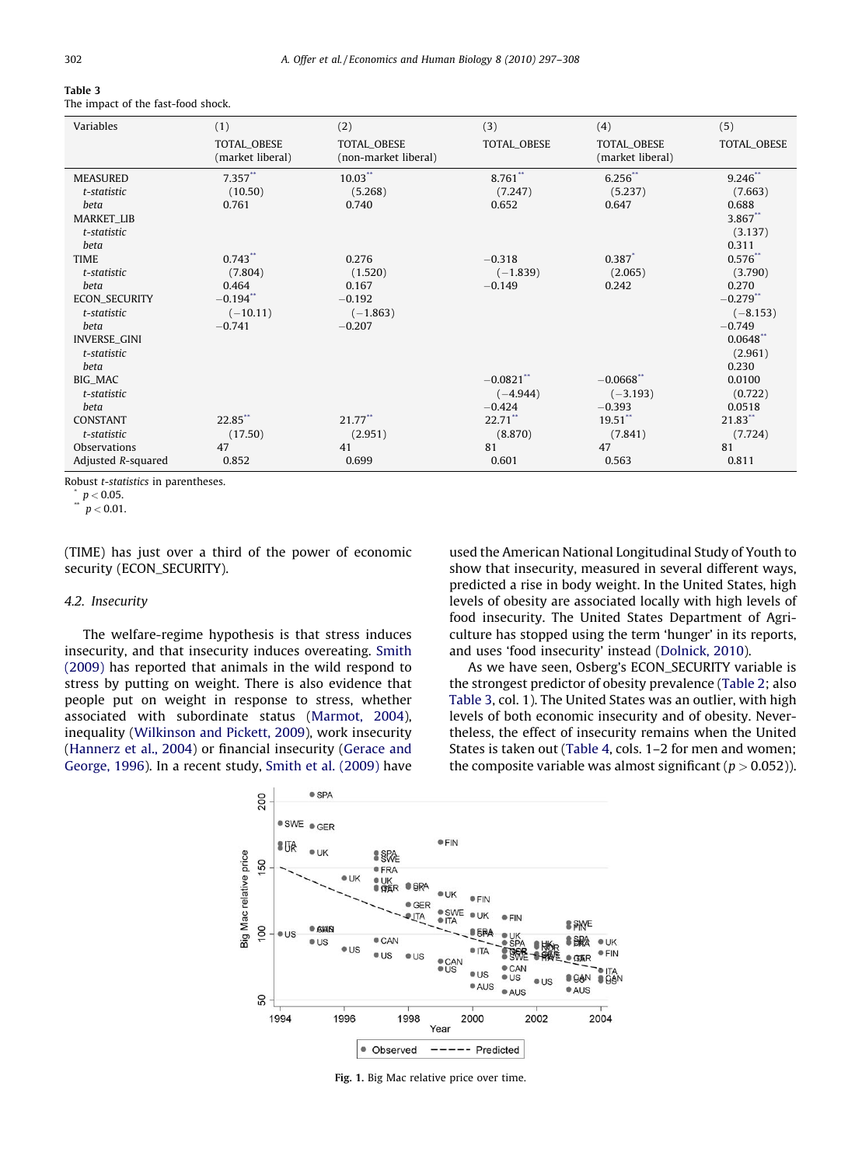<span id="page-5-0"></span>

| Table 3                            |  |  |
|------------------------------------|--|--|
| The impact of the fast-food shock. |  |  |

| Variables            | (1)                             | (2)                                 | (3)                     | (4)                             | (5)                   |
|----------------------|---------------------------------|-------------------------------------|-------------------------|---------------------------------|-----------------------|
|                      | TOTAL_OBESE<br>(market liberal) | TOTAL_OBESE<br>(non-market liberal) | TOTAL_OBESE             | TOTAL_OBESE<br>(market liberal) | TOTAL_OBESE           |
| <b>MEASURED</b>      | $7.357$ "                       | $10.03$ **                          | $8.761$ **              | $6.256$ **                      | 9.246                 |
| t-statistic          | (10.50)                         | (5.268)                             | (7.247)                 | (5.237)                         | (7.663)               |
| heta                 | 0.761                           | 0.740                               | 0.652                   | 0.647                           | 0.688                 |
| <b>MARKET_LIB</b>    |                                 |                                     |                         |                                 | 3.867                 |
| t-statistic          |                                 |                                     |                         |                                 | (3.137)               |
| beta                 |                                 |                                     |                         |                                 | 0.311                 |
| <b>TIME</b>          | $0.743$ <sup>**</sup>           | 0.276                               | $-0.318$                | 0.387                           | 0.576                 |
| t-statistic          | (7.804)                         | (1.520)                             | $(-1.839)$              | (2.065)                         | (3.790)               |
| beta                 | 0.464                           | 0.167                               | $-0.149$                | 0.242                           | 0.270                 |
| <b>ECON_SECURITY</b> | $-0.194$ <sup>**</sup>          | $-0.192$                            |                         |                                 | $-0.279$ **           |
| t-statistic          | $(-10.11)$                      | $(-1.863)$                          |                         |                                 | $(-8.153)$            |
| heta                 | $-0.741$                        | $-0.207$                            |                         |                                 | $-0.749$              |
| <b>INVERSE_GINI</b>  |                                 |                                     |                         |                                 | 0.0648                |
| t-statistic          |                                 |                                     |                         |                                 | (2.961)               |
| beta                 |                                 |                                     |                         |                                 | 0.230                 |
| BIG_MAC              |                                 |                                     | $-0.0821$ <sup>**</sup> | $-0.0668$                       | 0.0100                |
| t-statistic          |                                 |                                     | $(-4.944)$              | $(-3.193)$                      | (0.722)               |
| beta                 |                                 |                                     | $-0.424$                | $-0.393$                        | 0.0518                |
| <b>CONSTANT</b>      | $22.85$ <sup>**</sup>           | $21.77$ **                          | $22.71$ "               | $19.51$ **                      | $21.83$ <sup>**</sup> |
| t-statistic          | (17.50)                         | (2.951)                             | (8.870)                 | (7.841)                         | (7.724)               |
| Observations         | 47                              | 41                                  | 81                      | 47                              | 81                    |
| Adjusted R-squared   | 0.852                           | 0.699                               | 0.601                   | 0.563                           | 0.811                 |

Robust t-statistics in parentheses.

 $p < 0.05$ .

 $p < 0.01$ .

(TIME) has just over a third of the power of economic security (ECON\_SECURITY).

#### 4.2. Insecurity

The welfare-regime hypothesis is that stress induces insecurity, and that insecurity induces overeating. [Smith](#page-10-0) [\(2009\)](#page-10-0) has reported that animals in the wild respond to stress by putting on weight. There is also evidence that people put on weight in response to stress, whether associated with subordinate status [\(Marmot, 2004](#page-10-0)), inequality ([Wilkinson and Pickett, 2009](#page-11-0)), work insecurity [\(Hannerz et al., 2004\)](#page-10-0) or financial insecurity [\(Gerace and](#page-10-0) [George, 1996](#page-10-0)). In a recent study, [Smith et al. \(2009\)](#page-10-0) have

used the American National Longitudinal Study of Youth to show that insecurity, measured in several different ways, predicted a rise in body weight. In the United States, high levels of obesity are associated locally with high levels of food insecurity. The United States Department of Agriculture has stopped using the term 'hunger' in its reports, and uses 'food insecurity' instead ([Dolnick, 2010\)](#page-10-0).

As we have seen, Osberg's ECON\_SECURITY variable is the strongest predictor of obesity prevalence [\(Table 2](#page-4-0); also Table 3, col. 1). The United States was an outlier, with high levels of both economic insecurity and of obesity. Nevertheless, the effect of insecurity remains when the United States is taken out ([Table 4](#page-6-0), cols. 1–2 for men and women; the composite variable was almost significant ( $p > 0.052$ )).



Fig. 1. Big Mac relative price over time.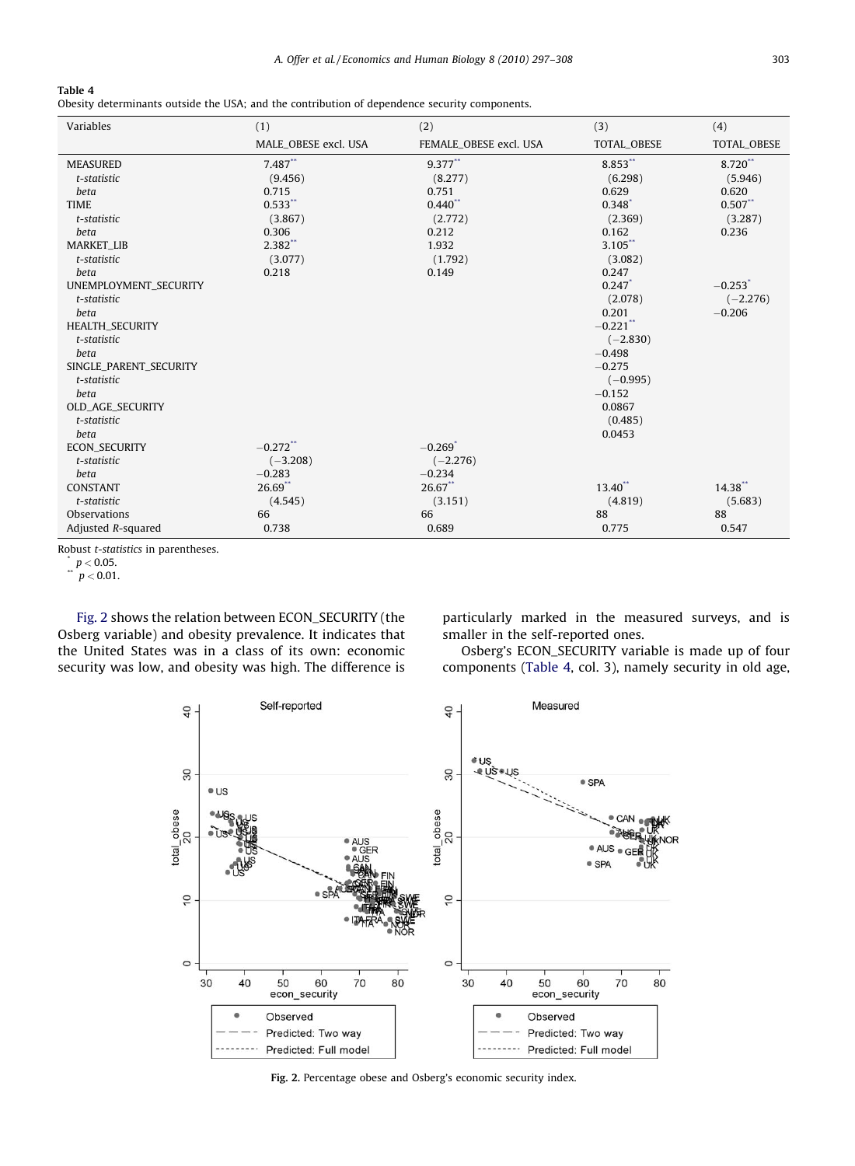## <span id="page-6-0"></span>Table 4

Obesity determinants outside the USA; and the contribution of dependence security components.

| Variables              | (1)                    | (2)                    | (3)                    | (4)                   |
|------------------------|------------------------|------------------------|------------------------|-----------------------|
|                        | MALE_OBESE excl. USA   | FEMALE_OBESE excl. USA | TOTAL_OBESE            | TOTAL_OBESE           |
| <b>MEASURED</b>        | $7.487$ <sup>**</sup>  | $9.377$ "              | 8.853                  | $8.720$ **            |
| t-statistic            | (9.456)                | (8.277)                | (6.298)                | (5.946)               |
| beta                   | 0.715                  | 0.751                  | 0.629                  | 0.620                 |
| <b>TIME</b>            | $0.533$ **             | $0.440$ "              | $0.348^{*}$            | $0.507$ **            |
| t-statistic            | (3.867)                | (2.772)                | (2.369)                | (3.287)               |
| beta                   | 0.306                  | 0.212                  | 0.162                  | 0.236                 |
| <b>MARKET_LIB</b>      | $2.382$ **             | 1.932                  | 3.105                  |                       |
| t-statistic            | (3.077)                | (1.792)                | (3.082)                |                       |
| beta                   | 0.218                  | 0.149                  | 0.247                  |                       |
| UNEMPLOYMENT_SECURITY  |                        |                        | $0.247$ <sup>*</sup>   | $-0.253$ <sup>*</sup> |
| t-statistic            |                        |                        | (2.078)                | $(-2.276)$            |
| beta                   |                        |                        | 0.201                  | $-0.206$              |
| <b>HEALTH_SECURITY</b> |                        |                        | $-0.221$ <sup>**</sup> |                       |
| t-statistic            |                        |                        | $(-2.830)$             |                       |
| beta                   |                        |                        | $-0.498$               |                       |
| SINGLE_PARENT_SECURITY |                        |                        | $-0.275$               |                       |
| t-statistic            |                        |                        | $(-0.995)$             |                       |
| beta                   |                        |                        | $-0.152$               |                       |
| OLD_AGE_SECURITY       |                        |                        | 0.0867                 |                       |
| t-statistic            |                        |                        | (0.485)                |                       |
| beta                   |                        |                        | 0.0453                 |                       |
| <b>ECON SECURITY</b>   | $-0.272$ <sup>**</sup> | $-0.269$ <sup>*</sup>  |                        |                       |
| t-statistic            | $(-3.208)$             | $(-2.276)$             |                        |                       |
| beta                   | $-0.283$               | $-0.234$               |                        |                       |
| CONSTANT               | $26.69$ **             | $26.67$ *              | $13.40$ <sup>**</sup>  | $14.38$ <sup>**</sup> |
| t-statistic            | (4.545)                | (3.151)                | (4.819)                | (5.683)               |
| Observations           | 66                     | 66                     | 88                     | 88                    |
| Adjusted R-squared     | 0.738                  | 0.689                  | 0.775                  | 0.547                 |

Robust t-statistics in parentheses.

 $p < 0.01$ .

Fig. 2 shows the relation between ECON\_SECURITY (the Osberg variable) and obesity prevalence. It indicates that the United States was in a class of its own: economic security was low, and obesity was high. The difference is particularly marked in the measured surveys, and is smaller in the self-reported ones.

Osberg's ECON\_SECURITY variable is made up of four components (Table 4, col. 3), namely security in old age,



Fig. 2. Percentage obese and Osberg's economic security index.

 $p < 0.05$ .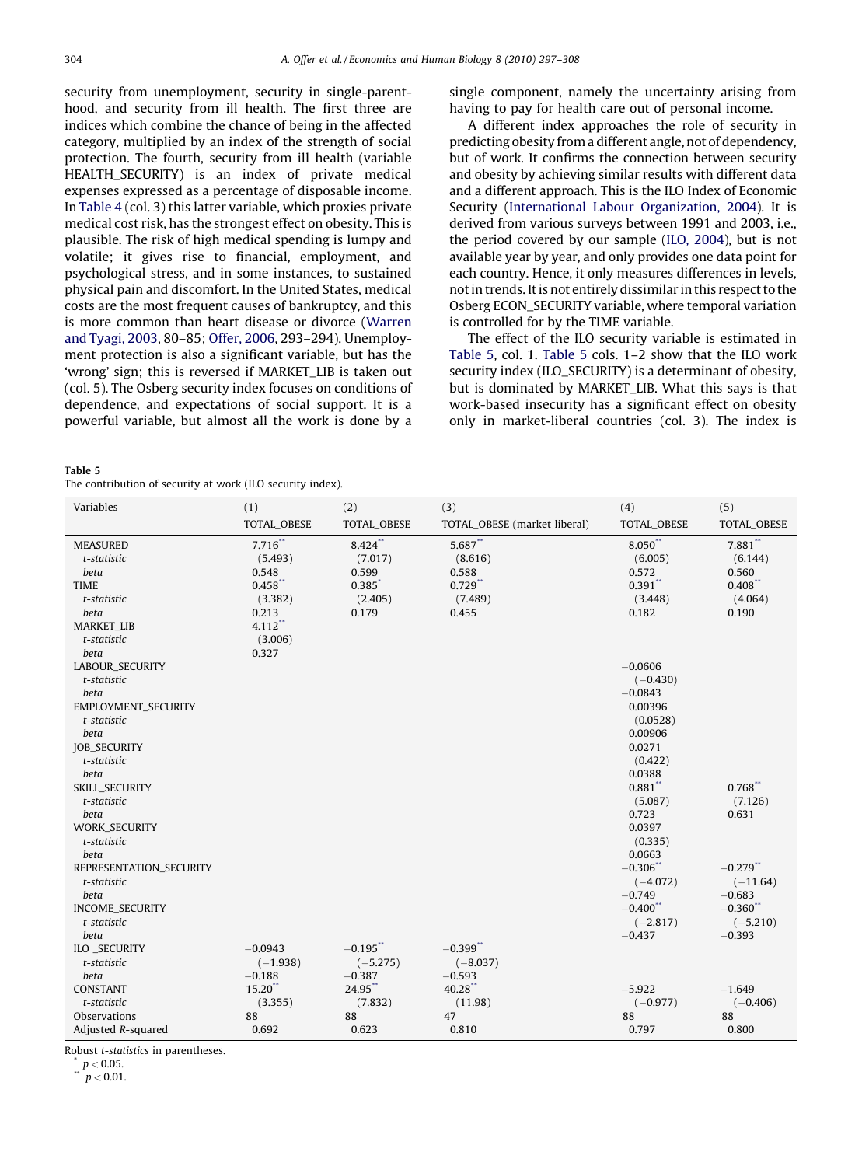security from unemployment, security in single-parenthood, and security from ill health. The first three are indices which combine the chance of being in the affected category, multiplied by an index of the strength of social protection. The fourth, security from ill health (variable HEALTH\_SECURITY) is an index of private medical expenses expressed as a percentage of disposable income. In [Table 4](#page-6-0) (col. 3) this latter variable, which proxies private medical cost risk, has the strongest effect on obesity. This is plausible. The risk of high medical spending is lumpy and volatile; it gives rise to financial, employment, and psychological stress, and in some instances, to sustained physical pain and discomfort. In the United States, medical costs are the most frequent causes of bankruptcy, and this is more common than heart disease or divorce [\(Warren](#page-11-0) [and Tyagi, 2003,](#page-11-0) 80–85; [Offer, 2006](#page-10-0), 293–294). Unemployment protection is also a significant variable, but has the 'wrong' sign; this is reversed if MARKET\_LIB is taken out (col. 5). The Osberg security index focuses on conditions of dependence, and expectations of social support. It is a powerful variable, but almost all the work is done by a

#### Table 5

The contribution of security at work (ILO security index).

single component, namely the uncertainty arising from having to pay for health care out of personal income.

A different index approaches the role of security in predicting obesity from a different angle, not of dependency, but of work. It confirms the connection between security and obesity by achieving similar results with different data and a different approach. This is the ILO Index of Economic Security [\(International Labour Organization, 2004\)](#page-10-0). It is derived from various surveys between 1991 and 2003, i.e., the period covered by our sample ([ILO, 2004](#page-10-0)), but is not available year by year, and only provides one data point for each country. Hence, it only measures differences in levels, not in trends. It is not entirely dissimilar in this respect to the Osberg ECON\_SECURITY variable, where temporal variation is controlled for by the TIME variable.

The effect of the ILO security variable is estimated in Table 5, col. 1. Table 5 cols. 1–2 show that the ILO work security index (ILO\_SECURITY) is a determinant of obesity, but is dominated by MARKET\_LIB. What this says is that work-based insecurity has a significant effect on obesity only in market-liberal countries (col. 3). The index is

| Variables               | (1)                   | (2)                  | (3)                          | (4)                    | (5)         |
|-------------------------|-----------------------|----------------------|------------------------------|------------------------|-------------|
|                         | TOTAL_OBESE           | TOTAL_OBESE          | TOTAL_OBESE (market liberal) | TOTAL_OBESE            | TOTAL_OBESE |
| <b>MEASURED</b>         | $7.716$ <sup>**</sup> | 8.424                | $5.687$ <sup>**</sup>        | $8.050$ **             | $7.881$ **  |
| t-statistic             | (5.493)               | (7.017)              | (8.616)                      | (6.005)                | (6.144)     |
| beta                    | 0.548                 | 0.599                | 0.588                        | 0.572                  | 0.560       |
| <b>TIME</b>             | $0.458$ **            | $0.385$ <sup>*</sup> | 0.729                        | $0.391$ **             | 0.408       |
| t-statistic             | (3.382)               | (2.405)              | (7.489)                      | (3.448)                | (4.064)     |
| beta                    | 0.213                 | 0.179                | 0.455                        | 0.182                  | 0.190       |
| <b>MARKET_LIB</b>       | $4.112$ <sup>**</sup> |                      |                              |                        |             |
| t-statistic             | (3.006)               |                      |                              |                        |             |
| beta                    | 0.327                 |                      |                              |                        |             |
| LABOUR_SECURITY         |                       |                      |                              | $-0.0606$              |             |
| t-statistic             |                       |                      |                              | $(-0.430)$             |             |
| beta                    |                       |                      |                              | $-0.0843$              |             |
| EMPLOYMENT_SECURITY     |                       |                      |                              | 0.00396                |             |
| t-statistic             |                       |                      |                              | (0.0528)               |             |
| beta                    |                       |                      |                              | 0.00906                |             |
| <b>JOB_SECURITY</b>     |                       |                      |                              | 0.0271                 |             |
| t-statistic             |                       |                      |                              | (0.422)                |             |
| beta                    |                       |                      |                              | 0.0388                 |             |
| SKILL_SECURITY          |                       |                      |                              | 0.881                  | $0.768$ **  |
| t-statistic             |                       |                      |                              | (5.087)                | (7.126)     |
| beta                    |                       |                      |                              | 0.723                  | 0.631       |
| WORK_SECURITY           |                       |                      |                              | 0.0397                 |             |
| t-statistic             |                       |                      |                              | (0.335)                |             |
| beta                    |                       |                      |                              | 0.0663                 |             |
| REPRESENTATION_SECURITY |                       |                      |                              | $-0.306$               | $-0.279$ ** |
| t-statistic             |                       |                      |                              | $(-4.072)$             | $(-11.64)$  |
| beta                    |                       |                      |                              | $-0.749$               | $-0.683$    |
| <b>INCOME_SECURITY</b>  |                       |                      |                              | $-0.400$ <sup>**</sup> | $-0.360$ ** |
| t-statistic             |                       |                      |                              | $(-2.817)$             | $(-5.210)$  |
| beta                    |                       |                      |                              | $-0.437$               | $-0.393$    |
| ILO_SECURITY            | $-0.0943$             | $-0.195$ **          | $-0.399$ <sup>**</sup>       |                        |             |
| t-statistic             | $(-1.938)$            | $(-5.275)$           | $(-8.037)$                   |                        |             |
| beta                    | $-0.188$              | $-0.387$             | $-0.593$                     |                        |             |
| CONSTANT                | $15.20$ **            | 24.95**              | $40.28$ **                   | $-5.922$               | $-1.649$    |
| t-statistic             | (3.355)               | (7.832)              | (11.98)                      | $(-0.977)$             | $(-0.406)$  |
| Observations            | 88                    | 88                   | 47                           | 88                     | 88          |
| Adjusted R-squared      | 0.692                 | 0.623                | 0.810                        | 0.797                  | 0.800       |
|                         |                       |                      |                              |                        |             |

Robust t-statistics in parentheses.

 $p < 0.05$ .

 $p < 0.01$ .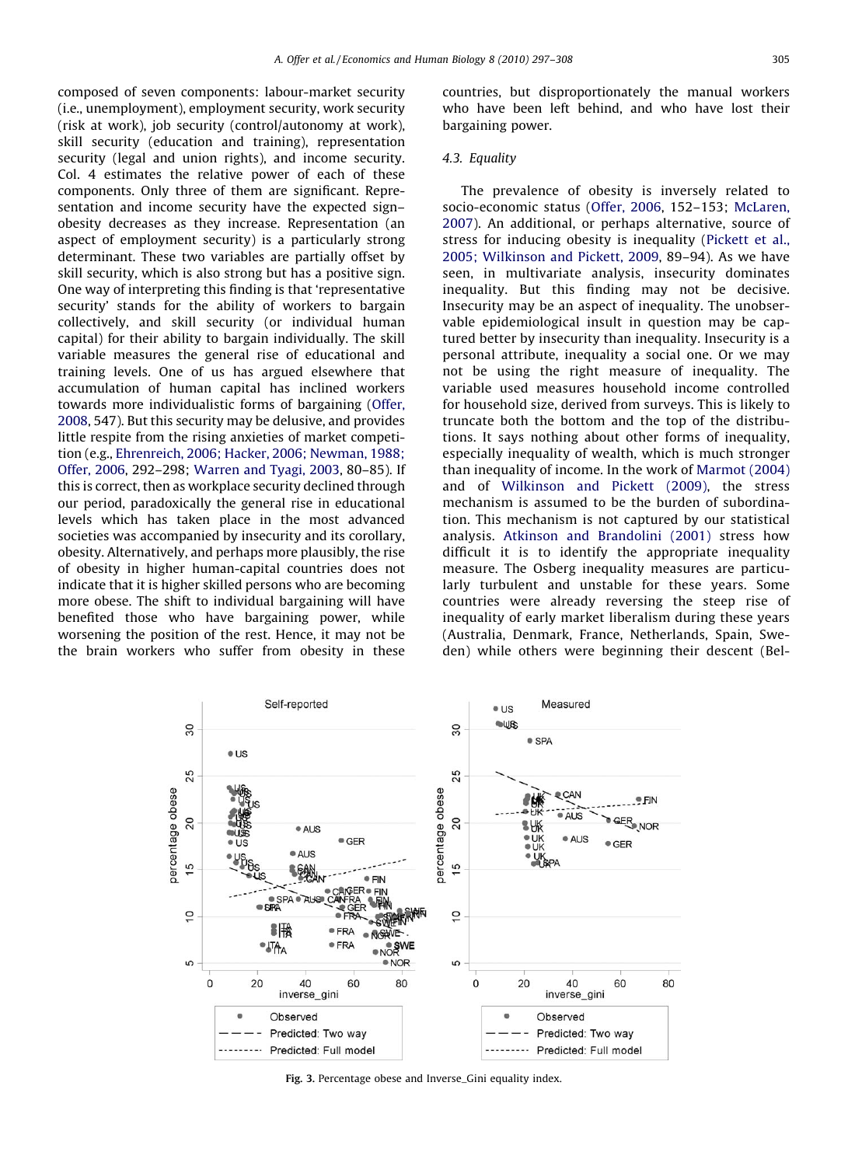<span id="page-8-0"></span>composed of seven components: labour-market security (i.e., unemployment), employment security, work security (risk at work), job security (control/autonomy at work), skill security (education and training), representation security (legal and union rights), and income security. Col. 4 estimates the relative power of each of these components. Only three of them are significant. Representation and income security have the expected sign– obesity decreases as they increase. Representation (an aspect of employment security) is a particularly strong determinant. These two variables are partially offset by skill security, which is also strong but has a positive sign. One way of interpreting this finding is that 'representative security' stands for the ability of workers to bargain collectively, and skill security (or individual human capital) for their ability to bargain individually. The skill variable measures the general rise of educational and training levels. One of us has argued elsewhere that accumulation of human capital has inclined workers towards more individualistic forms of bargaining ([Offer,](#page-10-0) [2008](#page-10-0), 547). But this security may be delusive, and provides little respite from the rising anxieties of market competition (e.g., [Ehrenreich, 2006; Hacker, 2006; Newman, 1988;](#page-10-0) [Offer, 2006,](#page-10-0) 292–298; [Warren and Tyagi, 2003](#page-11-0), 80–85). If this is correct, then as workplace security declined through our period, paradoxically the general rise in educational levels which has taken place in the most advanced societies was accompanied by insecurity and its corollary, obesity. Alternatively, and perhaps more plausibly, the rise of obesity in higher human-capital countries does not indicate that it is higher skilled persons who are becoming more obese. The shift to individual bargaining will have benefited those who have bargaining power, while worsening the position of the rest. Hence, it may not be the brain workers who suffer from obesity in these

countries, but disproportionately the manual workers who have been left behind, and who have lost their bargaining power.

# 4.3. Equality

The prevalence of obesity is inversely related to socio-economic status ([Offer, 2006](#page-10-0), 152–153; [McLaren,](#page-10-0) [2007](#page-10-0)). An additional, or perhaps alternative, source of stress for inducing obesity is inequality ([Pickett et al.,](#page-10-0) [2005; Wilkinson and Pickett, 2009,](#page-10-0) 89–94). As we have seen, in multivariate analysis, insecurity dominates inequality. But this finding may not be decisive. Insecurity may be an aspect of inequality. The unobservable epidemiological insult in question may be captured better by insecurity than inequality. Insecurity is a personal attribute, inequality a social one. Or we may not be using the right measure of inequality. The variable used measures household income controlled for household size, derived from surveys. This is likely to truncate both the bottom and the top of the distributions. It says nothing about other forms of inequality, especially inequality of wealth, which is much stronger than inequality of income. In the work of [Marmot \(2004\)](#page-10-0) and of [Wilkinson and Pickett \(2009\)](#page-11-0), the stress mechanism is assumed to be the burden of subordination. This mechanism is not captured by our statistical analysis. [Atkinson and Brandolini \(2001\)](#page-10-0) stress how difficult it is to identify the appropriate inequality measure. The Osberg inequality measures are particularly turbulent and unstable for these years. Some countries were already reversing the steep rise of inequality of early market liberalism during these years (Australia, Denmark, France, Netherlands, Spain, Sweden) while others were beginning their descent (Bel-



Fig. 3. Percentage obese and Inverse\_Gini equality index.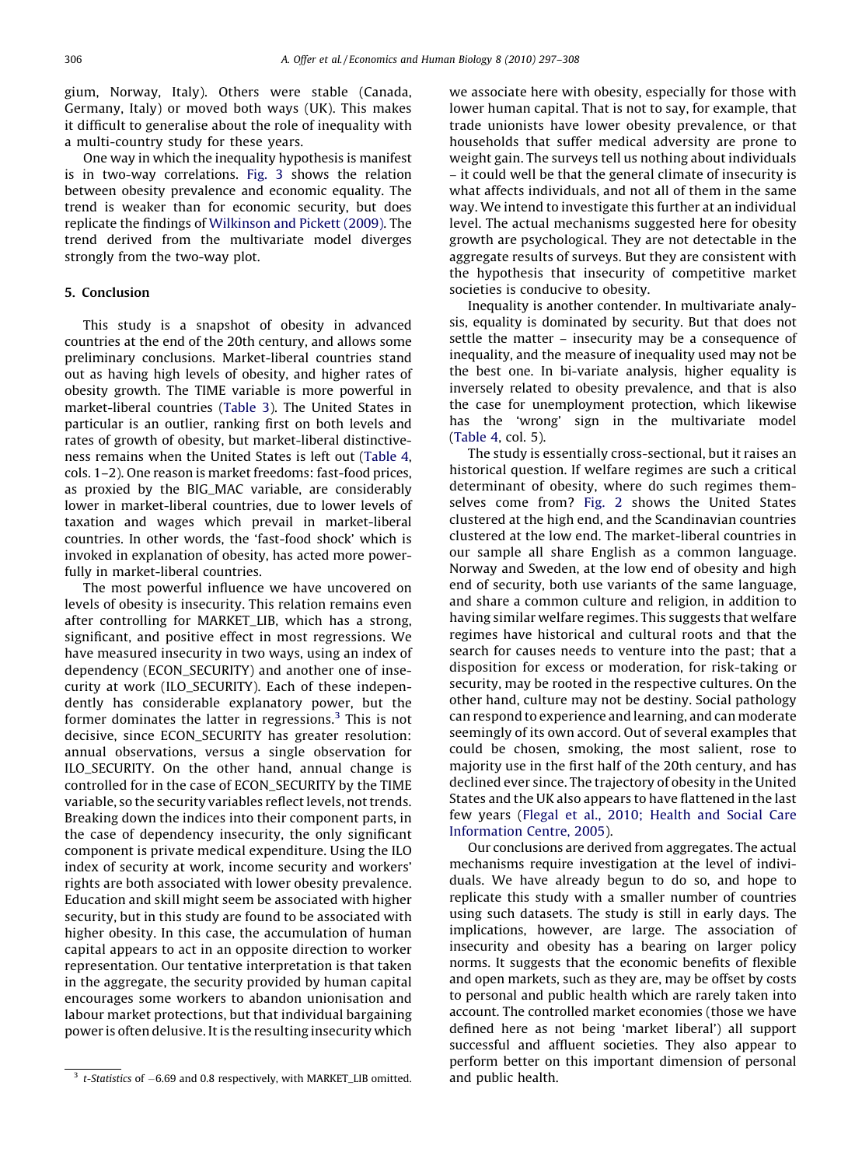gium, Norway, Italy). Others were stable (Canada, Germany, Italy) or moved both ways (UK). This makes it difficult to generalise about the role of inequality with a multi-country study for these years.

One way in which the inequality hypothesis is manifest is in two-way correlations. [Fig. 3](#page-8-0) shows the relation between obesity prevalence and economic equality. The trend is weaker than for economic security, but does replicate the findings of [Wilkinson and Pickett \(2009\)](#page-11-0). The trend derived from the multivariate model diverges strongly from the two-way plot.

# 5. Conclusion

This study is a snapshot of obesity in advanced countries at the end of the 20th century, and allows some preliminary conclusions. Market-liberal countries stand out as having high levels of obesity, and higher rates of obesity growth. The TIME variable is more powerful in market-liberal countries ([Table 3\)](#page-5-0). The United States in particular is an outlier, ranking first on both levels and rates of growth of obesity, but market-liberal distinctiveness remains when the United States is left out [\(Table 4](#page-6-0), cols. 1–2). One reason is market freedoms: fast-food prices, as proxied by the BIG\_MAC variable, are considerably lower in market-liberal countries, due to lower levels of taxation and wages which prevail in market-liberal countries. In other words, the 'fast-food shock' which is invoked in explanation of obesity, has acted more powerfully in market-liberal countries.

The most powerful influence we have uncovered on levels of obesity is insecurity. This relation remains even after controlling for MARKET\_LIB, which has a strong, significant, and positive effect in most regressions. We have measured insecurity in two ways, using an index of dependency (ECON\_SECURITY) and another one of insecurity at work (ILO\_SECURITY). Each of these independently has considerable explanatory power, but the former dominates the latter in regressions.<sup>3</sup> This is not decisive, since ECON\_SECURITY has greater resolution: annual observations, versus a single observation for ILO\_SECURITY. On the other hand, annual change is controlled for in the case of ECON\_SECURITY by the TIME variable, so the security variables reflect levels, not trends. Breaking down the indices into their component parts, in the case of dependency insecurity, the only significant component is private medical expenditure. Using the ILO index of security at work, income security and workers' rights are both associated with lower obesity prevalence. Education and skill might seem be associated with higher security, but in this study are found to be associated with higher obesity. In this case, the accumulation of human capital appears to act in an opposite direction to worker representation. Our tentative interpretation is that taken in the aggregate, the security provided by human capital encourages some workers to abandon unionisation and labour market protections, but that individual bargaining power is often delusive. It is the resulting insecurity which

we associate here with obesity, especially for those with lower human capital. That is not to say, for example, that trade unionists have lower obesity prevalence, or that households that suffer medical adversity are prone to weight gain. The surveys tell us nothing about individuals – it could well be that the general climate of insecurity is what affects individuals, and not all of them in the same way. We intend to investigate this further at an individual level. The actual mechanisms suggested here for obesity growth are psychological. They are not detectable in the aggregate results of surveys. But they are consistent with the hypothesis that insecurity of competitive market societies is conducive to obesity.

Inequality is another contender. In multivariate analysis, equality is dominated by security. But that does not settle the matter – insecurity may be a consequence of inequality, and the measure of inequality used may not be the best one. In bi-variate analysis, higher equality is inversely related to obesity prevalence, and that is also the case for unemployment protection, which likewise has the 'wrong' sign in the multivariate model [\(Table 4,](#page-6-0) col. 5).

The study is essentially cross-sectional, but it raises an historical question. If welfare regimes are such a critical determinant of obesity, where do such regimes themselves come from? [Fig. 2](#page-6-0) shows the United States clustered at the high end, and the Scandinavian countries clustered at the low end. The market-liberal countries in our sample all share English as a common language. Norway and Sweden, at the low end of obesity and high end of security, both use variants of the same language, and share a common culture and religion, in addition to having similar welfare regimes. This suggests that welfare regimes have historical and cultural roots and that the search for causes needs to venture into the past; that a disposition for excess or moderation, for risk-taking or security, may be rooted in the respective cultures. On the other hand, culture may not be destiny. Social pathology can respond to experience and learning, and can moderate seemingly of its own accord. Out of several examples that could be chosen, smoking, the most salient, rose to majority use in the first half of the 20th century, and has declined ever since. The trajectory of obesity in the United States and the UK also appears to have flattened in the last few years ([Flegal et al., 2010; Health and Social Care](#page-10-0) [Information Centre, 2005](#page-10-0)).

Our conclusions are derived from aggregates. The actual mechanisms require investigation at the level of individuals. We have already begun to do so, and hope to replicate this study with a smaller number of countries using such datasets. The study is still in early days. The implications, however, are large. The association of insecurity and obesity has a bearing on larger policy norms. It suggests that the economic benefits of flexible and open markets, such as they are, may be offset by costs to personal and public health which are rarely taken into account. The controlled market economies (those we have defined here as not being 'market liberal') all support successful and affluent societies. They also appear to perform better on this important dimension of personal

<sup>&</sup>lt;sup>3</sup> *t*-Statistics of  $-6.69$  and 0.8 respectively, with MARKET\_LIB omitted. **and public health.**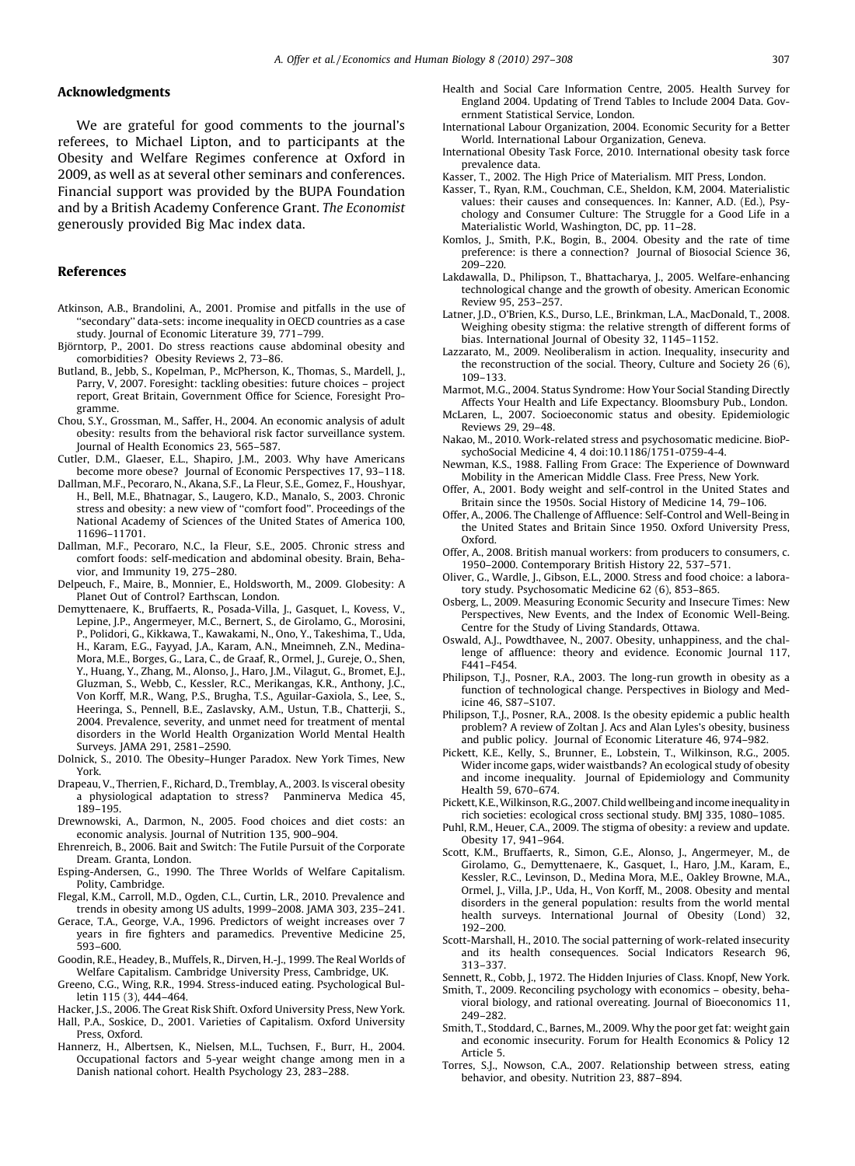#### <span id="page-10-0"></span>Acknowledgments

We are grateful for good comments to the journal's referees, to Michael Lipton, and to participants at the Obesity and Welfare Regimes conference at Oxford in 2009, as well as at several other seminars and conferences. Financial support was provided by the BUPA Foundation and by a British Academy Conference Grant. The Economist generously provided Big Mac index data.

#### References

- Atkinson, A.B., Brandolini, A., 2001. Promise and pitfalls in the use of 'secondary" data-sets: income inequality in OECD countries as a case study. Journal of Economic Literature 39, 771–799.
- Björntorp, P., 2001. Do stress reactions cause abdominal obesity and comorbidities? Obesity Reviews 2, 73–86.
- Butland, B., Jebb, S., Kopelman, P., McPherson, K., Thomas, S., Mardell, J., Parry, V, 2007. Foresight: tackling obesities: future choices – project report, Great Britain, Government Office for Science, Foresight Programme.
- Chou, S.Y., Grossman, M., Saffer, H., 2004. An economic analysis of adult obesity: results from the behavioral risk factor surveillance system. Journal of Health Economics 23, 565–587.
- Cutler, D.M., Glaeser, E.L., Shapiro, J.M., 2003. Why have Americans become more obese? Journal of Economic Perspectives 17, 93–118.
- Dallman, M.F., Pecoraro, N., Akana, S.F., La Fleur, S.E., Gomez, F., Houshyar, H., Bell, M.E., Bhatnagar, S., Laugero, K.D., Manalo, S., 2003. Chronic stress and obesity: a new view of ''comfort food''. Proceedings of the National Academy of Sciences of the United States of America 100, 11696–11701.
- Dallman, M.F., Pecoraro, N.C., la Fleur, S.E., 2005. Chronic stress and comfort foods: self-medication and abdominal obesity. Brain, Behavior, and Immunity 19, 275–280.
- Delpeuch, F., Maire, B., Monnier, E., Holdsworth, M., 2009. Globesity: A Planet Out of Control? Earthscan, London.
- Demyttenaere, K., Bruffaerts, R., Posada-Villa, J., Gasquet, I., Kovess, V., Lepine, J.P., Angermeyer, M.C., Bernert, S., de Girolamo, G., Morosini, P., Polidori, G., Kikkawa, T., Kawakami, N., Ono, Y., Takeshima, T., Uda, H., Karam, E.G., Fayyad, J.A., Karam, A.N., Mneimneh, Z.N., Medina-Mora, M.E., Borges, G., Lara, C., de Graaf, R., Ormel, J., Gureje, O., Shen, Y., Huang, Y., Zhang, M., Alonso, J., Haro, J.M., Vilagut, G., Bromet, E.J., Gluzman, S., Webb, C., Kessler, R.C., Merikangas, K.R., Anthony, J.C., Von Korff, M.R., Wang, P.S., Brugha, T.S., Aguilar-Gaxiola, S., Lee, S., Heeringa, S., Pennell, B.E., Zaslavsky, A.M., Ustun, T.B., Chatterji, S., 2004. Prevalence, severity, and unmet need for treatment of mental disorders in the World Health Organization World Mental Health Surveys. JAMA 291, 2581–2590.
- Dolnick, S., 2010. The Obesity–Hunger Paradox. New York Times, New York.
- Drapeau, V., Therrien, F., Richard, D., Tremblay, A., 2003. Is visceral obesity a physiological adaptation to stress? Panminerva Medica 45, 189–195.
- Drewnowski, A., Darmon, N., 2005. Food choices and diet costs: an economic analysis. Journal of Nutrition 135, 900–904.
- Ehrenreich, B., 2006. Bait and Switch: The Futile Pursuit of the Corporate Dream. Granta, London.
- Esping-Andersen, G., 1990. The Three Worlds of Welfare Capitalism. Polity, Cambridge.
- Flegal, K.M., Carroll, M.D., Ogden, C.L., Curtin, L.R., 2010. Prevalence and trends in obesity among US adults, 1999–2008. JAMA 303, 235–241.
- Gerace, T.A., George, V.A., 1996. Predictors of weight increases over 7 years in fire fighters and paramedics. Preventive Medicine 25, 593–600.
- Goodin, R.E., Headey, B., Muffels, R., Dirven, H.-J., 1999. The Real Worlds of Welfare Capitalism. Cambridge University Press, Cambridge, UK.
- Greeno, C.G., Wing, R.R., 1994. Stress-induced eating. Psychological Bulletin 115 (3), 444–464.
- Hacker, J.S., 2006. The Great Risk Shift. Oxford University Press, New York.
- Hall, P.A., Soskice, D., 2001. Varieties of Capitalism. Oxford University Press, Oxford.
- Hannerz, H., Albertsen, K., Nielsen, M.L., Tuchsen, F., Burr, H., 2004. Occupational factors and 5-year weight change among men in a Danish national cohort. Health Psychology 23, 283–288.
- Health and Social Care Information Centre, 2005. Health Survey for England 2004. Updating of Trend Tables to Include 2004 Data. Government Statistical Service, London.
- International Labour Organization, 2004. Economic Security for a Better World. International Labour Organization, Geneva.
- International Obesity Task Force, 2010. International obesity task force prevalence data.
- Kasser, T., 2002. The High Price of Materialism. MIT Press, London.
- Kasser, T., Ryan, R.M., Couchman, C.E., Sheldon, K.M, 2004. Materialistic values: their causes and consequences. In: Kanner, A.D. (Ed.), Psychology and Consumer Culture: The Struggle for a Good Life in a Materialistic World, Washington, DC, pp. 11–28.
- Komlos, J., Smith, P.K., Bogin, B., 2004. Obesity and the rate of time preference: is there a connection? Journal of Biosocial Science 36, 209–220.
- Lakdawalla, D., Philipson, T., Bhattacharya, J., 2005. Welfare-enhancing technological change and the growth of obesity. American Economic Review 95, 253–257.
- Latner, J.D., O'Brien, K.S., Durso, L.E., Brinkman, L.A., MacDonald, T., 2008. Weighing obesity stigma: the relative strength of different forms of bias. International Journal of Obesity 32, 1145–1152.
- Lazzarato, M., 2009. Neoliberalism in action. Inequality, insecurity and the reconstruction of the social. Theory, Culture and Society 26 (6), 109–133.
- Marmot, M.G., 2004. Status Syndrome: How Your Social Standing Directly Affects Your Health and Life Expectancy. Bloomsbury Pub., London.
- McLaren, L., 2007. Socioeconomic status and obesity. Epidemiologic Reviews 29, 29–48.
- Nakao, M., 2010. Work-related stress and psychosomatic medicine. BioPsychoSocial Medicine 4, 4 doi:10.1186/1751-0759-4-4.
- Newman, K.S., 1988. Falling From Grace: The Experience of Downward Mobility in the American Middle Class. Free Press, New York.
- Offer, A., 2001. Body weight and self-control in the United States and Britain since the 1950s. Social History of Medicine 14, 79–106.
- Offer, A., 2006. The Challenge of Affluence: Self-Control and Well-Being in the United States and Britain Since 1950. Oxford University Press, Oxford.
- Offer, A., 2008. British manual workers: from producers to consumers, c. 1950–2000. Contemporary British History 22, 537–571.
- Oliver, G., Wardle, J., Gibson, E.L., 2000. Stress and food choice: a laboratory study. Psychosomatic Medicine 62 (6), 853–865.
- Osberg, L., 2009. Measuring Economic Security and Insecure Times: New Perspectives, New Events, and the Index of Economic Well-Being. Centre for the Study of Living Standards, Ottawa.
- Oswald, A.J., Powdthavee, N., 2007. Obesity, unhappiness, and the challenge of affluence: theory and evidence. Economic Journal 117, F441–F454.
- Philipson, T.J., Posner, R.A., 2003. The long-run growth in obesity as a function of technological change. Perspectives in Biology and Medicine 46, S87–S107.
- Philipson, T.J., Posner, R.A., 2008. Is the obesity epidemic a public health problem? A review of Zoltan J. Acs and Alan Lyles's obesity, business and public policy. Journal of Economic Literature 46, 974–982.
- Pickett, K.E., Kelly, S., Brunner, E., Lobstein, T., Wilkinson, R.G., 2005. Wider income gaps, wider waistbands? An ecological study of obesity and income inequality. Journal of Epidemiology and Community Health 59, 670–674.
- Pickett, K.E., Wilkinson, R.G., 2007. Child wellbeing and income inequality in rich societies: ecological cross sectional study. BMJ 335, 1080–1085.
- Puhl, R.M., Heuer, C.A., 2009. The stigma of obesity: a review and update. Obesity 17, 941–964.
- Scott, K.M., Bruffaerts, R., Simon, G.E., Alonso, J., Angermeyer, M., de Girolamo, G., Demyttenaere, K., Gasquet, I., Haro, J.M., Karam, E., Kessler, R.C., Levinson, D., Medina Mora, M.E., Oakley Browne, M.A., Ormel, J., Villa, J.P., Uda, H., Von Korff, M., 2008. Obesity and mental disorders in the general population: results from the world mental health surveys. International Journal of Obesity (Lond) 32, 192–200.
- Scott-Marshall, H., 2010. The social patterning of work-related insecurity and its health consequences. Social Indicators Research 96, 313–337.
- Sennett, R., Cobb, J., 1972. The Hidden Injuries of Class. Knopf, New York.
- Smith, T., 2009. Reconciling psychology with economics obesity, behavioral biology, and rational overeating. Journal of Bioeconomics 11, 249–282.
- Smith, T., Stoddard, C., Barnes, M., 2009. Why the poor get fat: weight gain and economic insecurity. Forum for Health Economics & Policy 12 Article 5.
- Torres, S.J., Nowson, C.A., 2007. Relationship between stress, eating behavior, and obesity. Nutrition 23, 887–894.